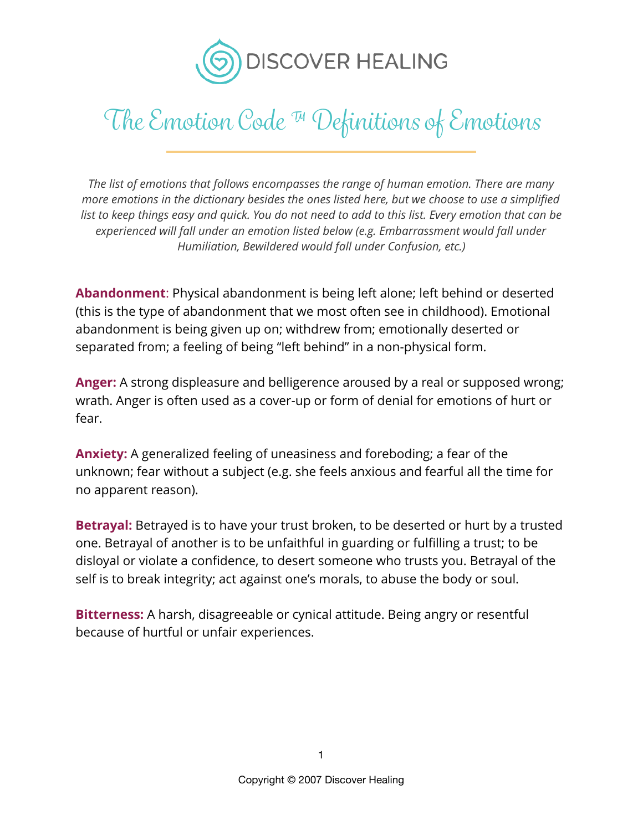

*The list of emotions that follows encompasses the range of human emotion. There are many more emotions in the dictionary besides the ones listed here, but we choose to use a simplified list to keep things easy and quick. You do not need to add to this list. Every emotion that can be experienced will fall under an emotion listed below (e.g. Embarrassment would fall under Humiliation, Bewildered would fall under Confusion, etc.)* 

**Abandonment**: Physical abandonment is being left alone; left behind or deserted (this is the type of abandonment that we most often see in childhood). Emotional abandonment is being given up on; withdrew from; emotionally deserted or separated from; a feeling of being "left behind" in a non-physical form.

**Anger:** A strong displeasure and belligerence aroused by a real or supposed wrong; wrath. Anger is often used as a cover-up or form of denial for emotions of hurt or fear.

**Anxiety:** A generalized feeling of uneasiness and foreboding; a fear of the unknown; fear without a subject (e.g. she feels anxious and fearful all the time for no apparent reason).

**Betrayal:** Betrayed is to have your trust broken, to be deserted or hurt by a trusted one. Betrayal of another is to be unfaithful in guarding or fulfilling a trust; to be disloyal or violate a confidence, to desert someone who trusts you. Betrayal of the self is to break integrity; act against one's morals, to abuse the body or soul.

**Bitterness:** A harsh, disagreeable or cynical attitude. Being angry or resentful because of hurtful or unfair experiences.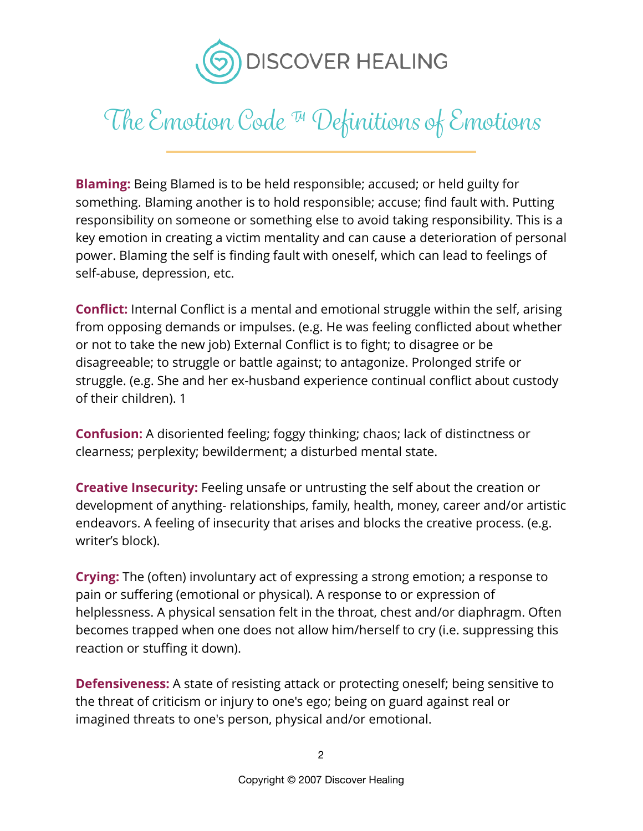

**Blaming:** Being Blamed is to be held responsible; accused; or held guilty for something. Blaming another is to hold responsible; accuse; find fault with. Putting responsibility on someone or something else to avoid taking responsibility. This is a key emotion in creating a victim mentality and can cause a deterioration of personal power. Blaming the self is finding fault with oneself, which can lead to feelings of self-abuse, depression, etc.

**Conflict:** Internal Conflict is a mental and emotional struggle within the self, arising from opposing demands or impulses. (e.g. He was feeling conflicted about whether or not to take the new job) External Conflict is to fight; to disagree or be disagreeable; to struggle or battle against; to antagonize. Prolonged strife or struggle. (e.g. She and her ex-husband experience continual conflict about custody of their children). 1

**Confusion:** A disoriented feeling; foggy thinking; chaos; lack of distinctness or clearness; perplexity; bewilderment; a disturbed mental state.

**Creative Insecurity:** Feeling unsafe or untrusting the self about the creation or development of anything- relationships, family, health, money, career and/or artistic endeavors. A feeling of insecurity that arises and blocks the creative process. (e.g. writer's block).

**Crying:** The (often) involuntary act of expressing a strong emotion; a response to pain or suffering (emotional or physical). A response to or expression of helplessness. A physical sensation felt in the throat, chest and/or diaphragm. Often becomes trapped when one does not allow him/herself to cry (i.e. suppressing this reaction or stuffing it down).

**Defensiveness:** A state of resisting attack or protecting oneself; being sensitive to the threat of criticism or injury to one's ego; being on guard against real or imagined threats to one's person, physical and/or emotional.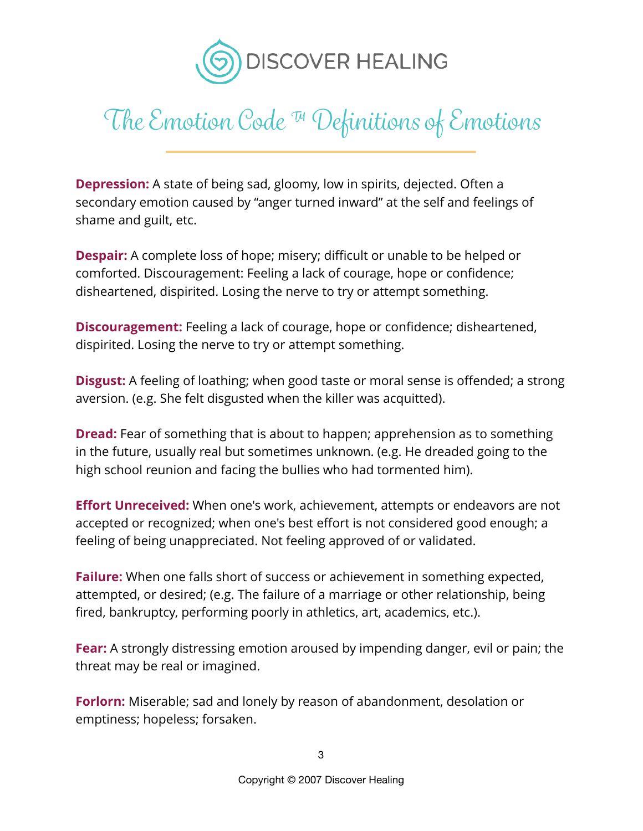

**Depression:** A state of being sad, gloomy, low in spirits, dejected. Often a secondary emotion caused by "anger turned inward" at the self and feelings of shame and guilt, etc.

**Despair:** A complete loss of hope; misery; difficult or unable to be helped or comforted. Discouragement: Feeling a lack of courage, hope or confidence; disheartened, dispirited. Losing the nerve to try or attempt something.

**Discouragement:** Feeling a lack of courage, hope or confidence; disheartened, dispirited. Losing the nerve to try or attempt something.

**Disgust:** A feeling of loathing; when good taste or moral sense is offended; a strong aversion. (e.g. She felt disgusted when the killer was acquitted).

**Dread:** Fear of something that is about to happen; apprehension as to something in the future, usually real but sometimes unknown. (e.g. He dreaded going to the high school reunion and facing the bullies who had tormented him).

**Effort Unreceived:** When one's work, achievement, attempts or endeavors are not accepted or recognized; when one's best effort is not considered good enough; a feeling of being unappreciated. Not feeling approved of or validated.

**Failure:** When one falls short of success or achievement in something expected, attempted, or desired; (e.g. The failure of a marriage or other relationship, being fired, bankruptcy, performing poorly in athletics, art, academics, etc.).

**Fear:** A strongly distressing emotion aroused by impending danger, evil or pain; the threat may be real or imagined.

**Forlorn:** Miserable; sad and lonely by reason of abandonment, desolation or emptiness; hopeless; forsaken.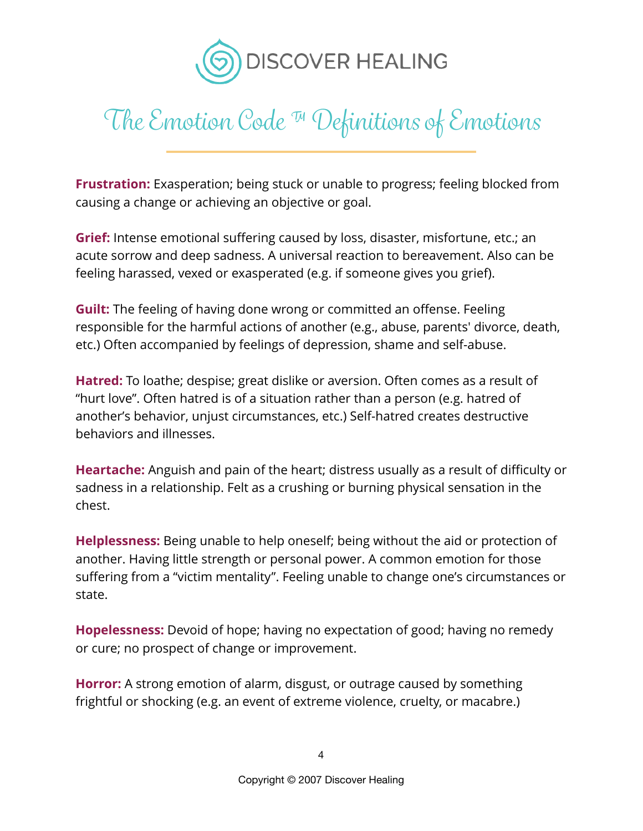

**Frustration:** Exasperation; being stuck or unable to progress; feeling blocked from causing a change or achieving an objective or goal.

**Grief:** Intense emotional suffering caused by loss, disaster, misfortune, etc.; an acute sorrow and deep sadness. A universal reaction to bereavement. Also can be feeling harassed, vexed or exasperated (e.g. if someone gives you grief).

**Guilt:** The feeling of having done wrong or committed an offense. Feeling responsible for the harmful actions of another (e.g., abuse, parents' divorce, death, etc.) Often accompanied by feelings of depression, shame and self-abuse.

**Hatred:** To loathe; despise; great dislike or aversion. Often comes as a result of "hurt love". Often hatred is of a situation rather than a person (e.g. hatred of another's behavior, unjust circumstances, etc.) Self-hatred creates destructive behaviors and illnesses.

**Heartache:** Anguish and pain of the heart; distress usually as a result of difficulty or sadness in a relationship. Felt as a crushing or burning physical sensation in the chest.

**Helplessness:** Being unable to help oneself; being without the aid or protection of another. Having little strength or personal power. A common emotion for those suffering from a "victim mentality". Feeling unable to change one's circumstances or state.

**Hopelessness:** Devoid of hope; having no expectation of good; having no remedy or cure; no prospect of change or improvement.

**Horror:** A strong emotion of alarm, disgust, or outrage caused by something frightful or shocking (e.g. an event of extreme violence, cruelty, or macabre.)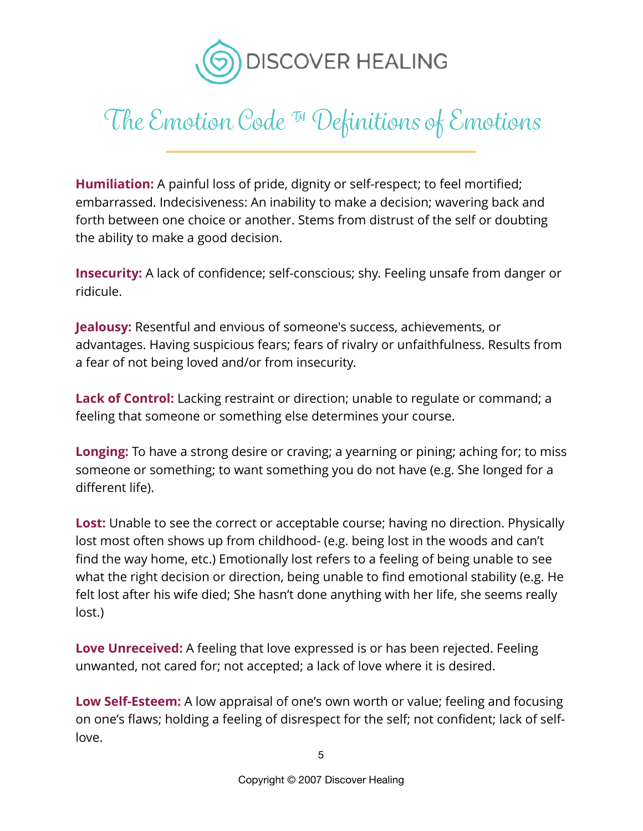

**Humiliation:** A painful loss of pride, dignity or self-respect; to feel mortified; embarrassed. Indecisiveness: An inability to make a decision; wavering back and forth between one choice or another. Stems from distrust of the self or doubting the ability to make a good decision.

**Insecurity:** A lack of confidence; self-conscious; shy. Feeling unsafe from danger or ridicule.

**Jealousy:** Resentful and envious of someone's success, achievements, or advantages. Having suspicious fears; fears of rivalry or unfaithfulness. Results from a fear of not being loved and/or from insecurity.

**Lack of Control:** Lacking restraint or direction; unable to regulate or command; a feeling that someone or something else determines your course.

**Longing:** To have a strong desire or craving; a yearning or pining; aching for; to miss someone or something; to want something you do not have (e.g. She longed for a different life).

**Lost:** Unable to see the correct or acceptable course; having no direction. Physically lost most often shows up from childhood- (e.g. being lost in the woods and can't find the way home, etc.) Emotionally lost refers to a feeling of being unable to see what the right decision or direction, being unable to find emotional stability (e.g. He felt lost after his wife died; She hasn't done anything with her life, she seems really lost.)

**Love Unreceived:** A feeling that love expressed is or has been rejected. Feeling unwanted, not cared for; not accepted; a lack of love where it is desired.

**Low Self-Esteem:** A low appraisal of one's own worth or value; feeling and focusing on one's flaws; holding a feeling of disrespect for the self; not confident; lack of selflove.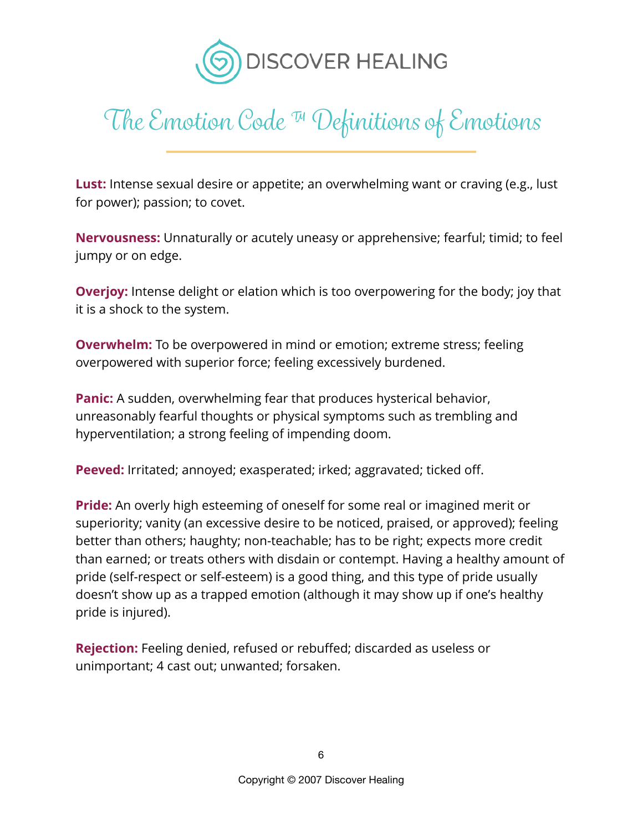

**Lust:** Intense sexual desire or appetite; an overwhelming want or craving (e.g., lust for power); passion; to covet.

**Nervousness:** Unnaturally or acutely uneasy or apprehensive; fearful; timid; to feel jumpy or on edge.

**Overjoy:** Intense delight or elation which is too overpowering for the body; joy that it is a shock to the system.

**Overwhelm:** To be overpowered in mind or emotion; extreme stress; feeling overpowered with superior force; feeling excessively burdened.

**Panic:** A sudden, overwhelming fear that produces hysterical behavior, unreasonably fearful thoughts or physical symptoms such as trembling and hyperventilation; a strong feeling of impending doom.

**Peeved:** Irritated; annoyed; exasperated; irked; aggravated; ticked off.

**Pride:** An overly high esteeming of oneself for some real or imagined merit or superiority; vanity (an excessive desire to be noticed, praised, or approved); feeling better than others; haughty; non-teachable; has to be right; expects more credit than earned; or treats others with disdain or contempt. Having a healthy amount of pride (self-respect or self-esteem) is a good thing, and this type of pride usually doesn't show up as a trapped emotion (although it may show up if one's healthy pride is injured).

**Rejection:** Feeling denied, refused or rebuffed; discarded as useless or unimportant; 4 cast out; unwanted; forsaken.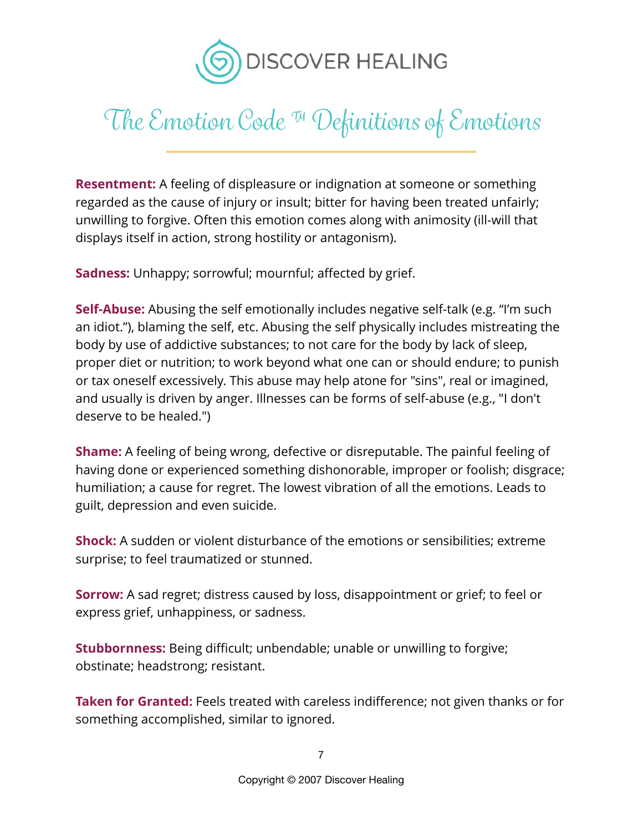

**Resentment:** A feeling of displeasure or indignation at someone or something regarded as the cause of injury or insult; bitter for having been treated unfairly; unwilling to forgive. Often this emotion comes along with animosity (ill-will that displays itself in action, strong hostility or antagonism).

**Sadness:** Unhappy; sorrowful; mournful; affected by grief.

**Self-Abuse:** Abusing the self emotionally includes negative self-talk (e.g. "I'm such an idiot."), blaming the self, etc. Abusing the self physically includes mistreating the body by use of addictive substances; to not care for the body by lack of sleep, proper diet or nutrition; to work beyond what one can or should endure; to punish or tax oneself excessively. This abuse may help atone for "sins", real or imagined, and usually is driven by anger. Illnesses can be forms of self-abuse (e.g., "I don't deserve to be healed.")

**Shame:** A feeling of being wrong, defective or disreputable. The painful feeling of having done or experienced something dishonorable, improper or foolish; disgrace; humiliation; a cause for regret. The lowest vibration of all the emotions. Leads to guilt, depression and even suicide.

**Shock:** A sudden or violent disturbance of the emotions or sensibilities; extreme surprise; to feel traumatized or stunned.

**Sorrow:** A sad regret; distress caused by loss, disappointment or grief; to feel or express grief, unhappiness, or sadness.

**Stubbornness:** Being difficult; unbendable; unable or unwilling to forgive; obstinate; headstrong; resistant.

**Taken for Granted:** Feels treated with careless indifference; not given thanks or for something accomplished, similar to ignored.